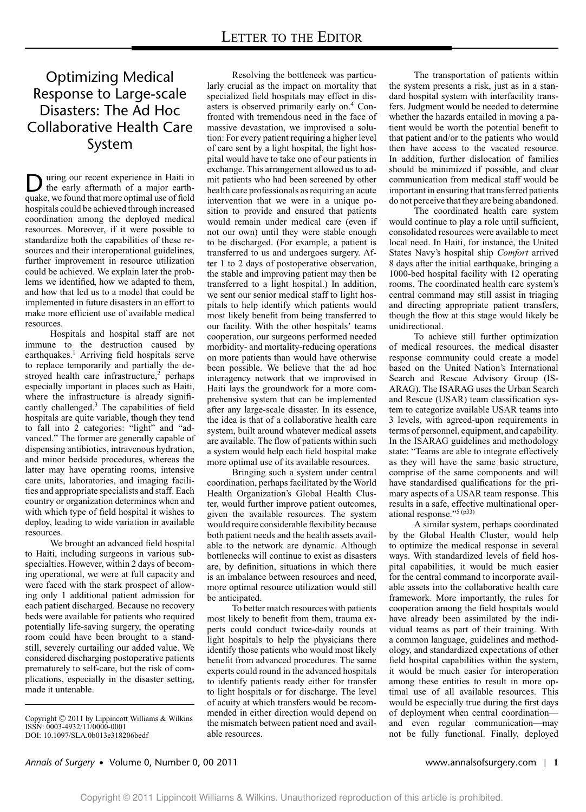# Optimizing Medical Response to Large-scale Disasters: The Ad Hoc Collaborative Health Care System

**D** uring our recent experience in Haiti in<br>the early aftermath of a major earthquake, we found that more optimal use of field hospitals could be achieved through increased coordination among the deployed medical resources. Moreover, if it were possible to standardize both the capabilities of these resources and their interoperational guidelines, further improvement in resource utilization could be achieved. We explain later the problems we identified, how we adapted to them, and how that led us to a model that could be implemented in future disasters in an effort to make more efficient use of available medical resources.

Hospitals and hospital staff are not immune to the destruction caused by earthquakes.<sup>1</sup> Arriving field hospitals serve to replace temporarily and partially the destroyed health care infrastructure, $2$  perhaps especially important in places such as Haiti, where the infrastructure is already significantly challenged.<sup>3</sup> The capabilities of field hospitals are quite variable, though they tend to fall into 2 categories: "light" and "advanced." The former are generally capable of dispensing antibiotics, intravenous hydration, and minor bedside procedures, whereas the latter may have operating rooms, intensive care units, laboratories, and imaging facilities and appropriate specialists and staff. Each country or organization determines when and with which type of field hospital it wishes to deploy, leading to wide variation in available resources.

We brought an advanced field hospital to Haiti, including surgeons in various subspecialties. However, within 2 days of becoming operational, we were at full capacity and were faced with the stark prospect of allowing only 1 additional patient admission for each patient discharged. Because no recovery beds were available for patients who required potentially life-saving surgery, the operating room could have been brought to a standstill, severely curtailing our added value. We considered discharging postoperative patients prematurely to self-care, but the risk of complications, especially in the disaster setting, made it untenable.

Resolving the bottleneck was particularly crucial as the impact on mortality that specialized field hospitals may effect in disasters is observed primarily early on.<sup>4</sup> Confronted with tremendous need in the face of massive devastation, we improvised a solution: For every patient requiring a higher level of care sent by a light hospital, the light hospital would have to take one of our patients in exchange. This arrangement allowed us to admit patients who had been screened by other health care professionals as requiring an acute intervention that we were in a unique position to provide and ensured that patients would remain under medical care (even if not our own) until they were stable enough to be discharged. (For example, a patient is transferred to us and undergoes surgery. After 1 to 2 days of postoperative observation, the stable and improving patient may then be transferred to a light hospital.) In addition, we sent our senior medical staff to light hospitals to help identify which patients would most likely benefit from being transferred to our facility. With the other hospitals' teams cooperation, our surgeons performed needed morbidity- and mortality-reducing operations on more patients than would have otherwise been possible. We believe that the ad hoc interagency network that we improvised in Haiti lays the groundwork for a more comprehensive system that can be implemented after any large-scale disaster. In its essence, the idea is that of a collaborative health care system, built around whatever medical assets are available. The flow of patients within such a system would help each field hospital make more optimal use of its available resources.

Bringing such a system under central coordination, perhaps facilitated by the World Health Organization's Global Health Cluster, would further improve patient outcomes, given the available resources. The system would require considerable flexibility because both patient needs and the health assets available to the network are dynamic. Although bottlenecks will continue to exist as disasters are, by definition, situations in which there is an imbalance between resources and need, more optimal resource utilization would still be anticipated.

To better match resources with patients most likely to benefit from them, trauma experts could conduct twice-daily rounds at light hospitals to help the physicians there identify those patients who would most likely benefit from advanced procedures. The same experts could round in the advanced hospitals to identify patients ready either for transfer to light hospitals or for discharge. The level of acuity at which transfers would be recommended in either direction would depend on the mismatch between patient need and available resources.

The transportation of patients within the system presents a risk, just as in a standard hospital system with interfacility transfers. Judgment would be needed to determine whether the hazards entailed in moving a patient would be worth the potential benefit to that patient and/or to the patients who would then have access to the vacated resource. In addition, further dislocation of families should be minimized if possible, and clear communication from medical staff would be important in ensuring that transferred patients do not perceive that they are being abandoned.

The coordinated health care system would continue to play a role until sufficient, consolidated resources were available to meet local need. In Haiti, for instance, the United States Navy's hospital ship *Comfort* arrived 8 days after the initial earthquake, bringing a 1000-bed hospital facility with 12 operating rooms. The coordinated health care system's central command may still assist in triaging and directing appropriate patient transfers, though the flow at this stage would likely be unidirectional.

To achieve still further optimization of medical resources, the medical disaster response community could create a model based on the United Nation's International Search and Rescue Advisory Group (IS-ARAG). The ISARAG uses the Urban Search and Rescue (USAR) team classification system to categorize available USAR teams into 3 levels, with agreed-upon requirements in terms of personnel, equipment, and capability. In the ISARAG guidelines and methodology state: "Teams are able to integrate effectively as they will have the same basic structure, comprise of the same components and will have standardised qualifications for the primary aspects of a USAR team response. This results in a safe, effective multinational operational response."5 (p33)

A similar system, perhaps coordinated by the Global Health Cluster, would help to optimize the medical response in several ways. With standardized levels of field hospital capabilities, it would be much easier for the central command to incorporate available assets into the collaborative health care framework. More importantly, the rules for cooperation among the field hospitals would have already been assimilated by the individual teams as part of their training. With a common language, guidelines and methodology, and standardized expectations of other field hospital capabilities within the system, it would be much easier for interoperation among these entities to result in more optimal use of all available resources. This would be especially true during the first days of deployment when central coordination and even regular communication—may not be fully functional. Finally, deployed

## *Annals of Surgery* - Volume 0, Number 0, 00 2011 www.annalsofsurgery.com | **1**

Copyright -C 2011 by Lippincott Williams & Wilkins ISSN: 0003-4932/11/0000-0001 DOI: 10.1097/SLA.0b013e318206bedf